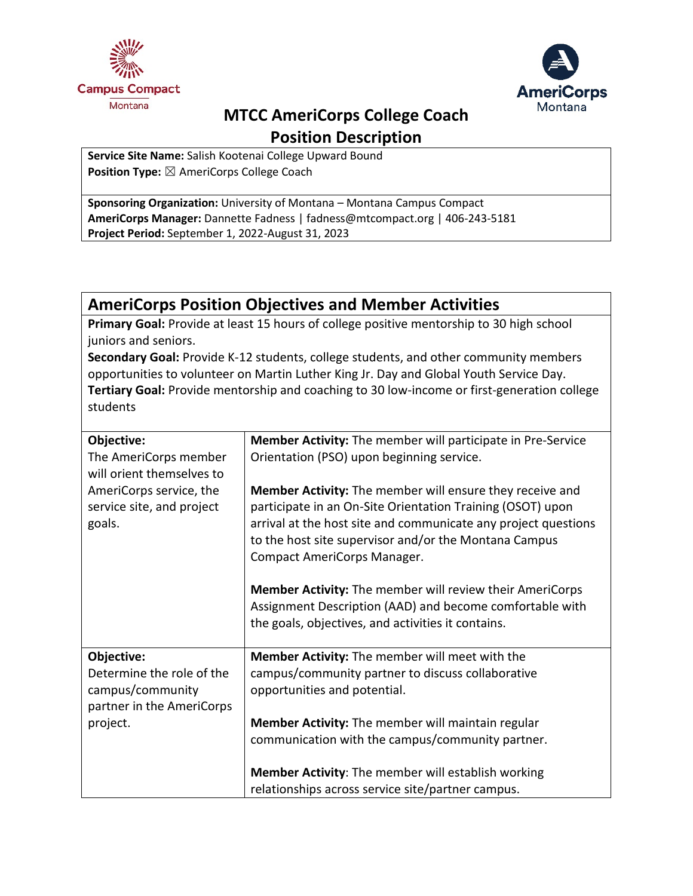



# **MTCC AmeriCorps College Coach**

**Position Description**

**Service Site Name:** Salish Kootenai College Upward Bound **Position Type:** ⊠ AmeriCorps College Coach

**Sponsoring Organization:** University of Montana – Montana Campus Compact **AmeriCorps Manager:** Dannette Fadness | fadness@mtcompact.org | 406-243-5181 **Project Period:** September 1, 2022-August 31, 2023

## **AmeriCorps Position Objectives and Member Activities**

**Primary Goal:** Provide at least 15 hours of college positive mentorship to 30 high school juniors and seniors.

**Secondary Goal:** Provide K-12 students, college students, and other community members opportunities to volunteer on Martin Luther King Jr. Day and Global Youth Service Day. **Tertiary Goal:** Provide mentorship and coaching to 30 low-income or first-generation college students

| Objective:                                                                 | Member Activity: The member will participate in Pre-Service                                                                                                                                                                                                                      |
|----------------------------------------------------------------------------|----------------------------------------------------------------------------------------------------------------------------------------------------------------------------------------------------------------------------------------------------------------------------------|
| The AmeriCorps member<br>will orient themselves to                         | Orientation (PSO) upon beginning service.                                                                                                                                                                                                                                        |
| AmeriCorps service, the<br>service site, and project<br>goals.             | Member Activity: The member will ensure they receive and<br>participate in an On-Site Orientation Training (OSOT) upon<br>arrival at the host site and communicate any project questions<br>to the host site supervisor and/or the Montana Campus<br>Compact AmeriCorps Manager. |
|                                                                            | <b>Member Activity:</b> The member will review their AmeriCorps<br>Assignment Description (AAD) and become comfortable with<br>the goals, objectives, and activities it contains.                                                                                                |
| Objective:                                                                 | Member Activity: The member will meet with the                                                                                                                                                                                                                                   |
| Determine the role of the<br>campus/community<br>partner in the AmeriCorps | campus/community partner to discuss collaborative<br>opportunities and potential.                                                                                                                                                                                                |
| project.                                                                   | Member Activity: The member will maintain regular                                                                                                                                                                                                                                |
|                                                                            | communication with the campus/community partner.                                                                                                                                                                                                                                 |
|                                                                            | Member Activity: The member will establish working                                                                                                                                                                                                                               |
|                                                                            | relationships across service site/partner campus.                                                                                                                                                                                                                                |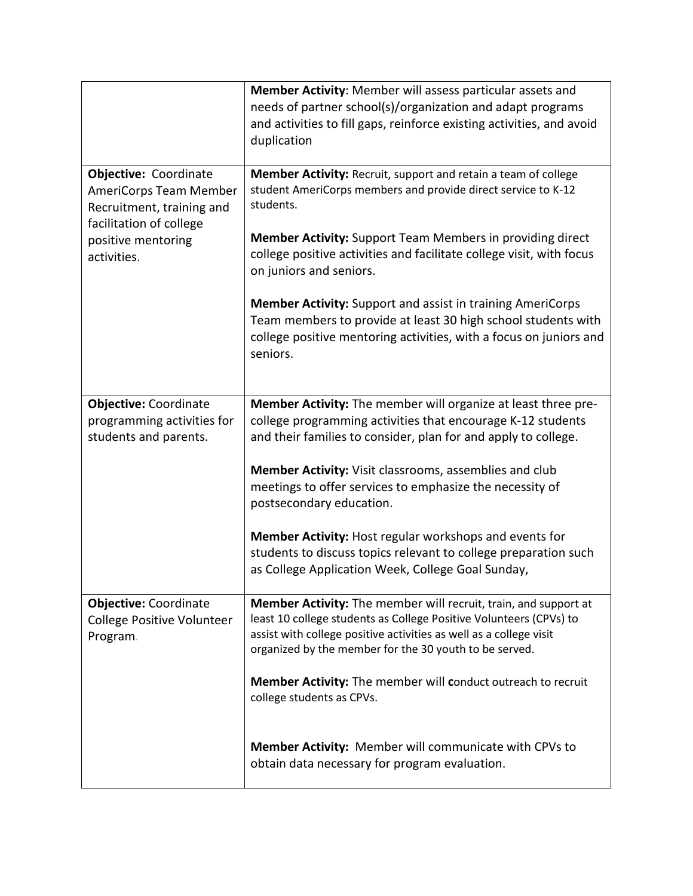|                                                                                     | Member Activity: Member will assess particular assets and<br>needs of partner school(s)/organization and adapt programs<br>and activities to fill gaps, reinforce existing activities, and avoid<br>duplication                                                              |
|-------------------------------------------------------------------------------------|------------------------------------------------------------------------------------------------------------------------------------------------------------------------------------------------------------------------------------------------------------------------------|
| Objective: Coordinate<br>AmeriCorps Team Member<br>Recruitment, training and        | Member Activity: Recruit, support and retain a team of college<br>student AmeriCorps members and provide direct service to K-12<br>students.                                                                                                                                 |
| facilitation of college<br>positive mentoring<br>activities.                        | <b>Member Activity:</b> Support Team Members in providing direct<br>college positive activities and facilitate college visit, with focus<br>on juniors and seniors.                                                                                                          |
|                                                                                     | <b>Member Activity:</b> Support and assist in training AmeriCorps<br>Team members to provide at least 30 high school students with<br>college positive mentoring activities, with a focus on juniors and<br>seniors.                                                         |
| <b>Objective: Coordinate</b><br>programming activities for<br>students and parents. | Member Activity: The member will organize at least three pre-<br>college programming activities that encourage K-12 students<br>and their families to consider, plan for and apply to college.                                                                               |
|                                                                                     | Member Activity: Visit classrooms, assemblies and club<br>meetings to offer services to emphasize the necessity of<br>postsecondary education.                                                                                                                               |
|                                                                                     | Member Activity: Host regular workshops and events for<br>students to discuss topics relevant to college preparation such<br>as College Application Week, College Goal Sunday,                                                                                               |
| <b>Objective: Coordinate</b><br><b>College Positive Volunteer</b><br>Program.       | <b>Member Activity:</b> The member will recruit, train, and support at<br>least 10 college students as College Positive Volunteers (CPVs) to<br>assist with college positive activities as well as a college visit<br>organized by the member for the 30 youth to be served. |
|                                                                                     | <b>Member Activity:</b> The member will conduct outreach to recruit<br>college students as CPVs.                                                                                                                                                                             |
|                                                                                     | Member Activity: Member will communicate with CPVs to<br>obtain data necessary for program evaluation.                                                                                                                                                                       |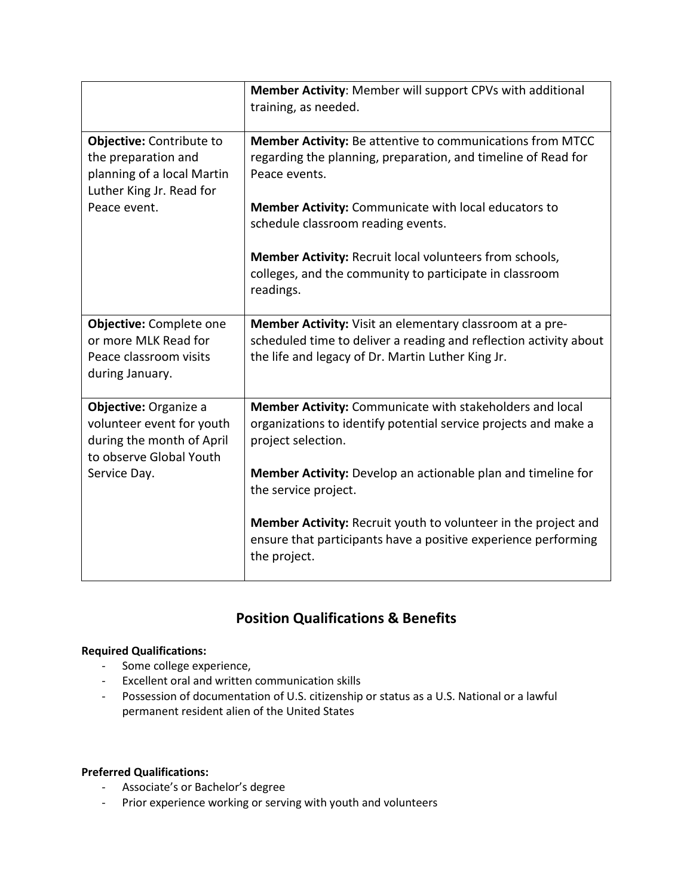|                                                                                                                            | Member Activity: Member will support CPVs with additional<br>training, as needed.                                                                                                  |
|----------------------------------------------------------------------------------------------------------------------------|------------------------------------------------------------------------------------------------------------------------------------------------------------------------------------|
| Objective: Contribute to<br>the preparation and<br>planning of a local Martin<br>Luther King Jr. Read for<br>Peace event.  | Member Activity: Be attentive to communications from MTCC<br>regarding the planning, preparation, and timeline of Read for<br>Peace events.                                        |
|                                                                                                                            | <b>Member Activity:</b> Communicate with local educators to<br>schedule classroom reading events.                                                                                  |
|                                                                                                                            | <b>Member Activity: Recruit local volunteers from schools,</b><br>colleges, and the community to participate in classroom<br>readings.                                             |
| Objective: Complete one<br>or more MLK Read for<br>Peace classroom visits<br>during January.                               | Member Activity: Visit an elementary classroom at a pre-<br>scheduled time to deliver a reading and reflection activity about<br>the life and legacy of Dr. Martin Luther King Jr. |
| Objective: Organize a<br>volunteer event for youth<br>during the month of April<br>to observe Global Youth<br>Service Day. | Member Activity: Communicate with stakeholders and local<br>organizations to identify potential service projects and make a<br>project selection.                                  |
|                                                                                                                            | Member Activity: Develop an actionable plan and timeline for<br>the service project.                                                                                               |
|                                                                                                                            | Member Activity: Recruit youth to volunteer in the project and<br>ensure that participants have a positive experience performing<br>the project.                                   |

### **Position Qualifications & Benefits**

#### **Required Qualifications:**

- Some college experience,
- Excellent oral and written communication skills
- Possession of documentation of U.S. citizenship or status as a U.S. National or a lawful permanent resident alien of the United States

#### **Preferred Qualifications:**

- Associate's or Bachelor's degree
- Prior experience working or serving with youth and volunteers